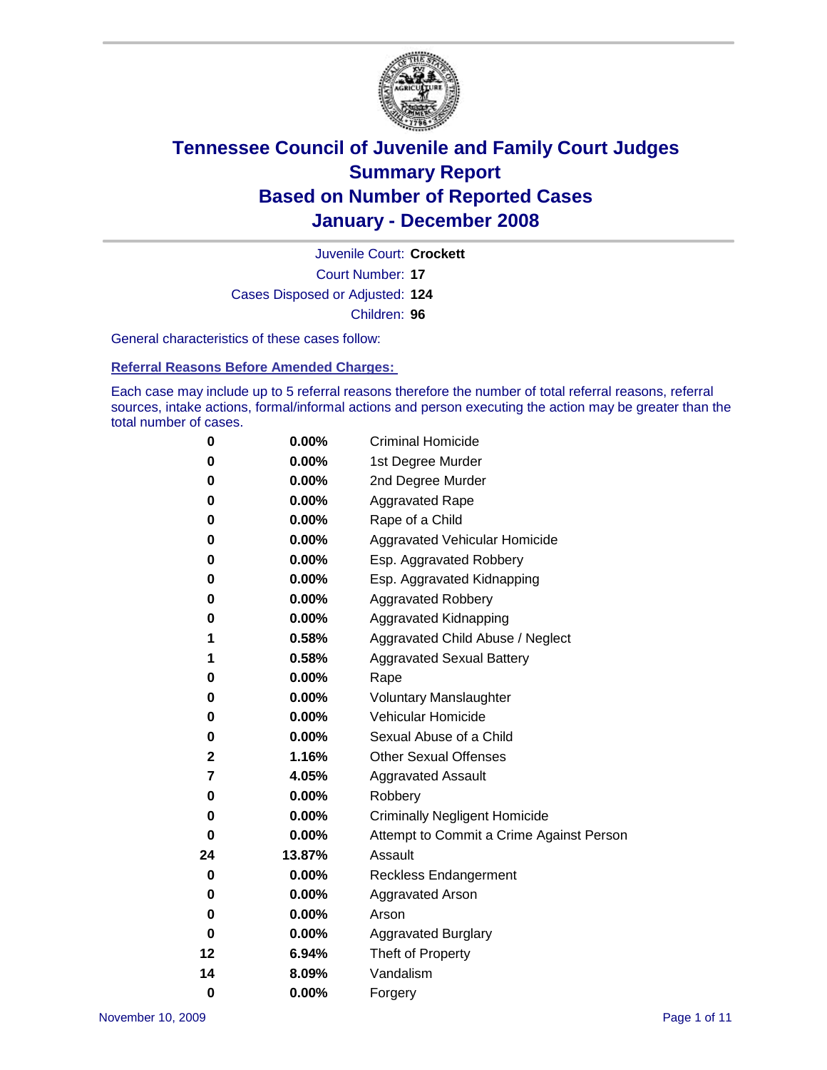

Court Number: **17** Juvenile Court: **Crockett** Cases Disposed or Adjusted: **124** Children: **96**

General characteristics of these cases follow:

**Referral Reasons Before Amended Charges:** 

Each case may include up to 5 referral reasons therefore the number of total referral reasons, referral sources, intake actions, formal/informal actions and person executing the action may be greater than the total number of cases.

| 0  | 0.00%    | <b>Criminal Homicide</b>                 |
|----|----------|------------------------------------------|
| 0  | 0.00%    | 1st Degree Murder                        |
| 0  | $0.00\%$ | 2nd Degree Murder                        |
| 0  | 0.00%    | <b>Aggravated Rape</b>                   |
| 0  | 0.00%    | Rape of a Child                          |
| 0  | 0.00%    | Aggravated Vehicular Homicide            |
| 0  | 0.00%    | Esp. Aggravated Robbery                  |
| 0  | 0.00%    | Esp. Aggravated Kidnapping               |
| 0  | 0.00%    | <b>Aggravated Robbery</b>                |
| 0  | $0.00\%$ | Aggravated Kidnapping                    |
| 1  | 0.58%    | Aggravated Child Abuse / Neglect         |
| 1  | 0.58%    | <b>Aggravated Sexual Battery</b>         |
| 0  | 0.00%    | Rape                                     |
| 0  | 0.00%    | <b>Voluntary Manslaughter</b>            |
| 0  | 0.00%    | Vehicular Homicide                       |
| 0  | 0.00%    | Sexual Abuse of a Child                  |
| 2  | 1.16%    | <b>Other Sexual Offenses</b>             |
| 7  | 4.05%    | <b>Aggravated Assault</b>                |
| 0  | $0.00\%$ | Robbery                                  |
| 0  | 0.00%    | <b>Criminally Negligent Homicide</b>     |
| 0  | 0.00%    | Attempt to Commit a Crime Against Person |
| 24 | 13.87%   | Assault                                  |
| 0  | 0.00%    | <b>Reckless Endangerment</b>             |
| 0  | 0.00%    | Aggravated Arson                         |
| 0  | 0.00%    | Arson                                    |
| 0  | 0.00%    | <b>Aggravated Burglary</b>               |
| 12 | 6.94%    | Theft of Property                        |
| 14 | 8.09%    | Vandalism                                |
| 0  | 0.00%    | Forgery                                  |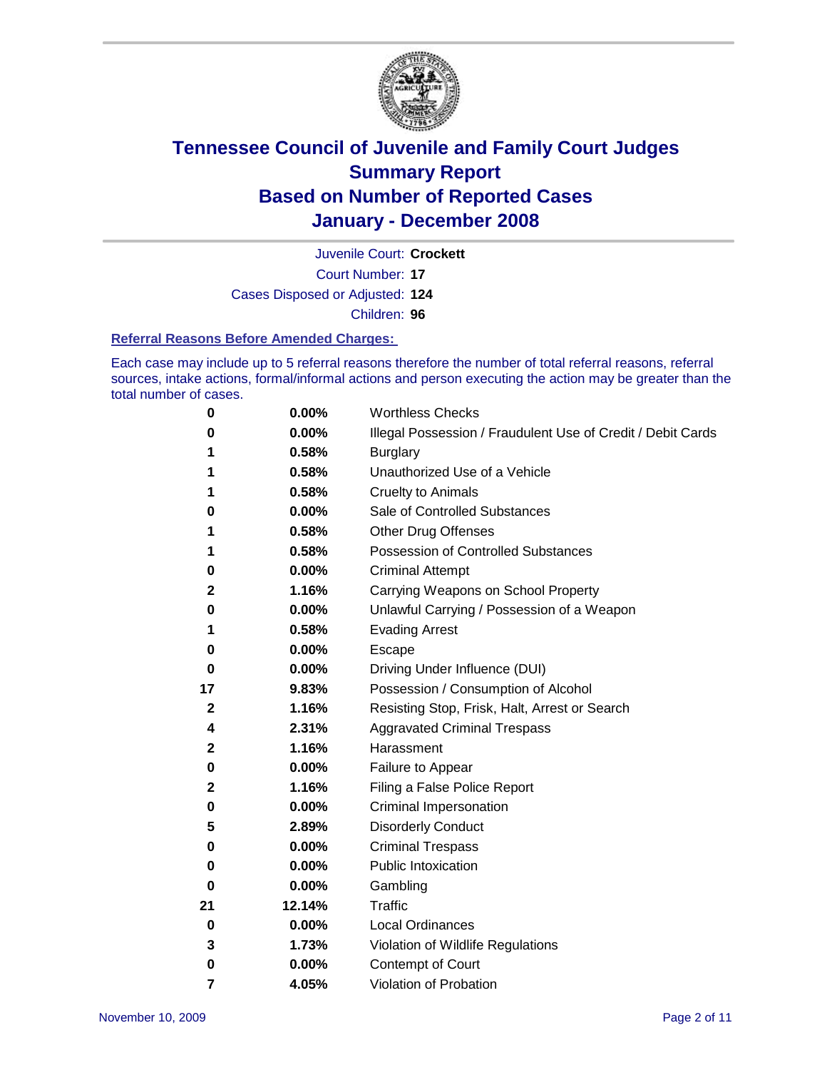

Court Number: **17** Juvenile Court: **Crockett**

Cases Disposed or Adjusted: **124**

Children: **96**

#### **Referral Reasons Before Amended Charges:**

Each case may include up to 5 referral reasons therefore the number of total referral reasons, referral sources, intake actions, formal/informal actions and person executing the action may be greater than the total number of cases.

| 0  | 0.00%  | <b>Worthless Checks</b>                                     |
|----|--------|-------------------------------------------------------------|
| 0  | 0.00%  | Illegal Possession / Fraudulent Use of Credit / Debit Cards |
| 1  | 0.58%  | <b>Burglary</b>                                             |
| 1  | 0.58%  | Unauthorized Use of a Vehicle                               |
| 1  | 0.58%  | <b>Cruelty to Animals</b>                                   |
| 0  | 0.00%  | Sale of Controlled Substances                               |
| 1  | 0.58%  | <b>Other Drug Offenses</b>                                  |
| 1  | 0.58%  | <b>Possession of Controlled Substances</b>                  |
| 0  | 0.00%  | <b>Criminal Attempt</b>                                     |
| 2  | 1.16%  | Carrying Weapons on School Property                         |
| 0  | 0.00%  | Unlawful Carrying / Possession of a Weapon                  |
| 1  | 0.58%  | <b>Evading Arrest</b>                                       |
| 0  | 0.00%  | Escape                                                      |
| 0  | 0.00%  | Driving Under Influence (DUI)                               |
| 17 | 9.83%  | Possession / Consumption of Alcohol                         |
| 2  | 1.16%  | Resisting Stop, Frisk, Halt, Arrest or Search               |
| 4  | 2.31%  | <b>Aggravated Criminal Trespass</b>                         |
| 2  | 1.16%  | Harassment                                                  |
| 0  | 0.00%  | Failure to Appear                                           |
| 2  | 1.16%  | Filing a False Police Report                                |
| 0  | 0.00%  | Criminal Impersonation                                      |
| 5  | 2.89%  | <b>Disorderly Conduct</b>                                   |
| 0  | 0.00%  | <b>Criminal Trespass</b>                                    |
| 0  | 0.00%  | <b>Public Intoxication</b>                                  |
| 0  | 0.00%  | Gambling                                                    |
| 21 | 12.14% | Traffic                                                     |
| 0  | 0.00%  | <b>Local Ordinances</b>                                     |
| 3  | 1.73%  | Violation of Wildlife Regulations                           |
| 0  | 0.00%  | Contempt of Court                                           |
| 7  | 4.05%  | Violation of Probation                                      |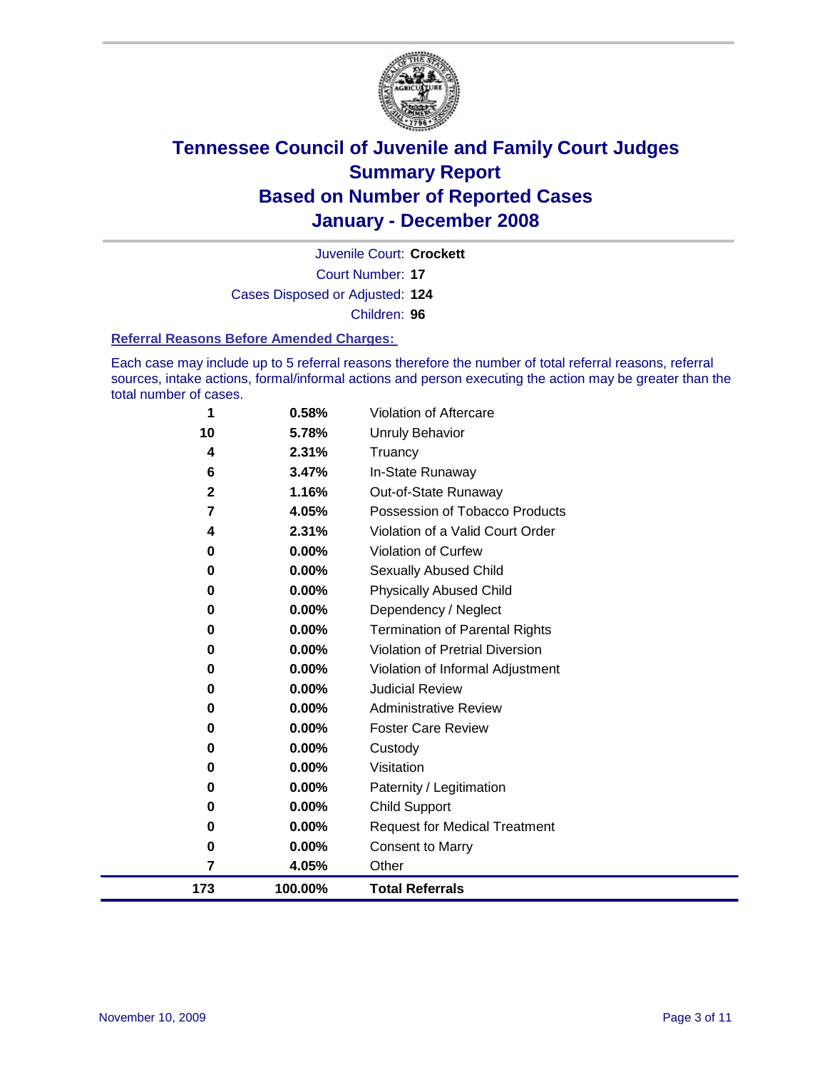

Court Number: **17** Juvenile Court: **Crockett** Cases Disposed or Adjusted: **124** Children: **96**

#### **Referral Reasons Before Amended Charges:**

Each case may include up to 5 referral reasons therefore the number of total referral reasons, referral sources, intake actions, formal/informal actions and person executing the action may be greater than the total number of cases.

| 173               | 100.00%        | <b>Total Referrals</b>                                 |
|-------------------|----------------|--------------------------------------------------------|
| 7                 | 4.05%          | Other                                                  |
| 0                 | 0.00%          | <b>Consent to Marry</b>                                |
| 0                 | 0.00%          | <b>Request for Medical Treatment</b>                   |
| 0                 | 0.00%          | <b>Child Support</b>                                   |
| 0                 | $0.00\%$       | Paternity / Legitimation                               |
| 0                 | $0.00\%$       | Visitation                                             |
| 0                 | $0.00\%$       | Custody                                                |
| 0                 | $0.00\%$       | <b>Foster Care Review</b>                              |
| 0                 | $0.00\%$       | <b>Administrative Review</b>                           |
| 0                 | $0.00\%$       | <b>Judicial Review</b>                                 |
| 0                 | $0.00\%$       | Violation of Informal Adjustment                       |
| 0                 | $0.00\%$       | <b>Violation of Pretrial Diversion</b>                 |
| 0                 | $0.00\%$       | <b>Termination of Parental Rights</b>                  |
| 0                 | $0.00\%$       | Dependency / Neglect                                   |
| 0                 | 0.00%          | <b>Physically Abused Child</b>                         |
| 0                 | 0.00%          | <b>Sexually Abused Child</b>                           |
| 0                 | 0.00%          | Violation of Curfew                                    |
| 4                 | 2.31%          | Violation of a Valid Court Order                       |
| 7                 | 1.16%<br>4.05% | Out-of-State Runaway<br>Possession of Tobacco Products |
| 6<br>$\mathbf{2}$ | 3.47%          | In-State Runaway                                       |
| 4                 | 2.31%          | Truancy                                                |
| 10                | 5.78%          | <b>Unruly Behavior</b>                                 |
| 1                 | 0.58%          | Violation of Aftercare                                 |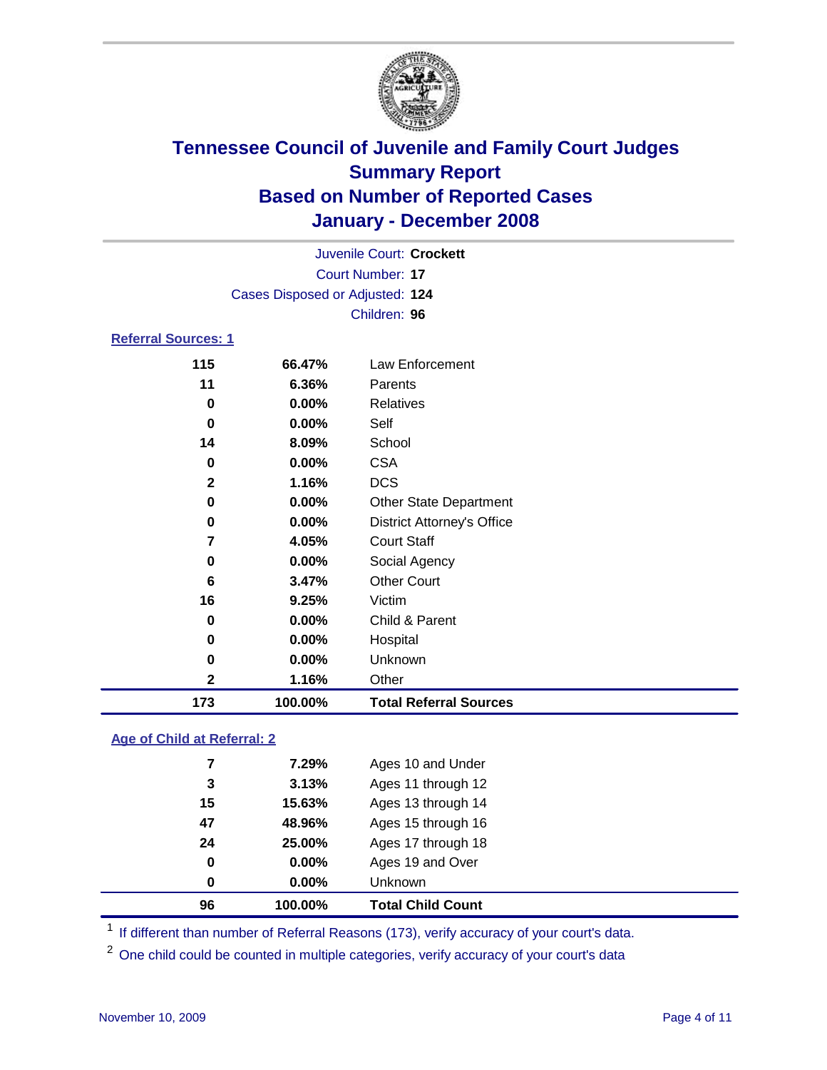

|                            |                                 | Juvenile Court: Crockett |  |  |  |  |
|----------------------------|---------------------------------|--------------------------|--|--|--|--|
| Court Number: 17           |                                 |                          |  |  |  |  |
|                            | Cases Disposed or Adjusted: 124 |                          |  |  |  |  |
|                            |                                 | Children: 96             |  |  |  |  |
| <b>Referral Sources: 1</b> |                                 |                          |  |  |  |  |
| 115                        | 66.47%                          | Law Enforcement          |  |  |  |  |
| 11                         | 6.36%                           | Parents                  |  |  |  |  |
| 0                          | $0.00\%$                        | Relatives                |  |  |  |  |

| 173          | 100.00% | <b>Total Referral Sources</b>     |  |
|--------------|---------|-----------------------------------|--|
| 2            | 1.16%   | Other                             |  |
| 0            | 0.00%   | Unknown                           |  |
| 0            | 0.00%   | Hospital                          |  |
| 0            | 0.00%   | Child & Parent                    |  |
| 16           | 9.25%   | Victim                            |  |
| 6            | 3.47%   | <b>Other Court</b>                |  |
| 0            | 0.00%   | Social Agency                     |  |
| 7            | 4.05%   | <b>Court Staff</b>                |  |
| 0            | 0.00%   | <b>District Attorney's Office</b> |  |
| 0            | 0.00%   | <b>Other State Department</b>     |  |
| $\mathbf{2}$ | 1.16%   | <b>DCS</b>                        |  |
| 0            | 0.00%   | <b>CSA</b>                        |  |
| 14           | 8.09%   | School                            |  |
| 0            | 0.00%   | Self                              |  |
|              |         |                                   |  |

#### **Age of Child at Referral: 2**

| 100.00%  | <b>Total Child Count</b> |
|----------|--------------------------|
| $0.00\%$ | Unknown                  |
| 0.00%    | Ages 19 and Over         |
| 25.00%   | Ages 17 through 18       |
| 48.96%   | Ages 15 through 16       |
| 15.63%   | Ages 13 through 14       |
| 3.13%    | Ages 11 through 12       |
| 7.29%    | Ages 10 and Under        |
|          |                          |

<sup>1</sup> If different than number of Referral Reasons (173), verify accuracy of your court's data.

One child could be counted in multiple categories, verify accuracy of your court's data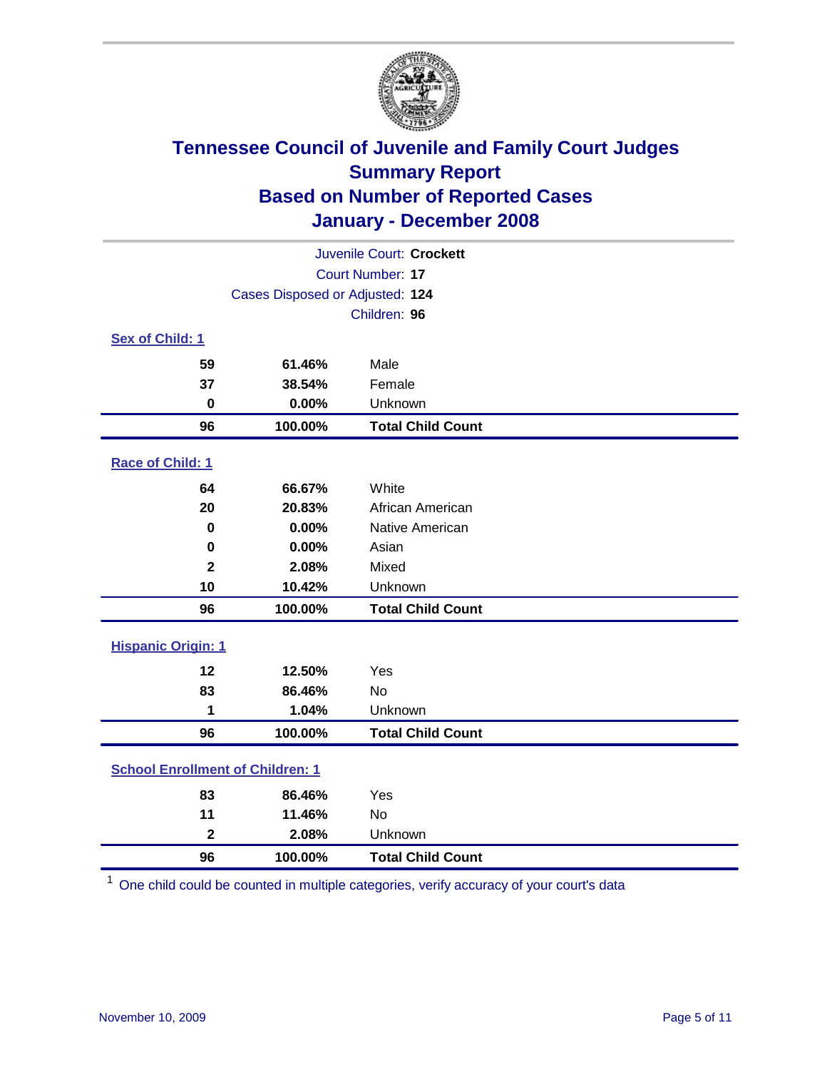

| Juvenile Court: Crockett                |                                 |                          |  |  |  |
|-----------------------------------------|---------------------------------|--------------------------|--|--|--|
| <b>Court Number: 17</b>                 |                                 |                          |  |  |  |
|                                         | Cases Disposed or Adjusted: 124 |                          |  |  |  |
|                                         | Children: 96                    |                          |  |  |  |
| Sex of Child: 1                         |                                 |                          |  |  |  |
| 59                                      | 61.46%                          | Male                     |  |  |  |
| 37                                      | 38.54%                          | Female                   |  |  |  |
| $\bf{0}$                                | 0.00%                           | Unknown                  |  |  |  |
| 96                                      | 100.00%                         | <b>Total Child Count</b> |  |  |  |
| <b>Race of Child: 1</b>                 |                                 |                          |  |  |  |
| 64                                      | 66.67%                          | White                    |  |  |  |
| 20                                      | 20.83%                          | African American         |  |  |  |
| 0                                       | 0.00%                           | Native American          |  |  |  |
| 0                                       | 0.00%                           | Asian                    |  |  |  |
| $\overline{\mathbf{2}}$                 | 2.08%                           | Mixed                    |  |  |  |
| 10                                      | 10.42%                          | Unknown                  |  |  |  |
| 96                                      | 100.00%                         | <b>Total Child Count</b> |  |  |  |
| <b>Hispanic Origin: 1</b>               |                                 |                          |  |  |  |
| 12                                      | 12.50%                          | Yes                      |  |  |  |
| 83                                      | 86.46%                          | <b>No</b>                |  |  |  |
| 1                                       | 1.04%                           | Unknown                  |  |  |  |
| 96                                      | 100.00%                         | <b>Total Child Count</b> |  |  |  |
| <b>School Enrollment of Children: 1</b> |                                 |                          |  |  |  |
| 83                                      | 86.46%                          | Yes                      |  |  |  |
| 11                                      | 11.46%                          | No                       |  |  |  |
| $\overline{\mathbf{2}}$                 | 2.08%                           | Unknown                  |  |  |  |
| 96                                      | 100.00%                         | <b>Total Child Count</b> |  |  |  |

One child could be counted in multiple categories, verify accuracy of your court's data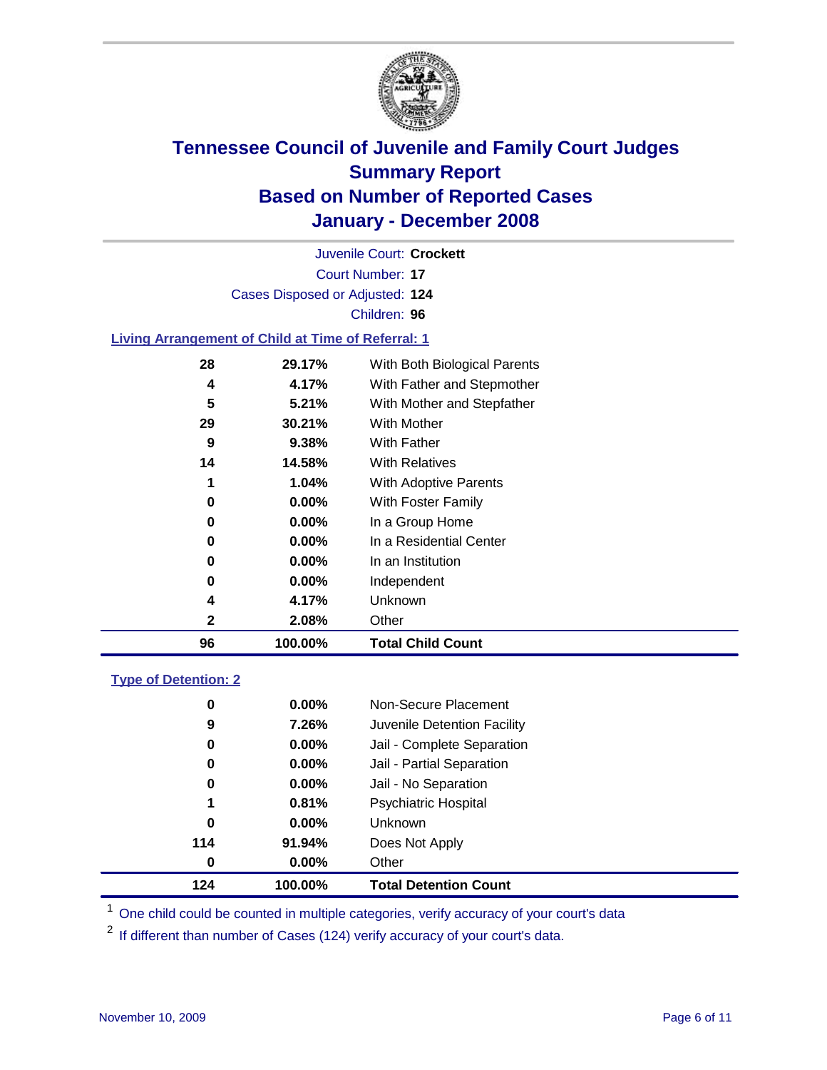

Court Number: **17** Juvenile Court: **Crockett** Cases Disposed or Adjusted: **124** Children: **96 Living Arrangement of Child at Time of Referral: 1 29.17%** With Both Biological Parents **5.21%** With Mother and Stepfather **30.21%** With Mother **9.38%** With Father **14.58%** With Relatives

| 96 | 100.00%  | <b>Total Child Count</b>     |
|----|----------|------------------------------|
| 2  | 2.08%    | Other                        |
| 4  | 4.17%    | Unknown                      |
| 0  | $0.00\%$ | Independent                  |
| 0  | $0.00\%$ | In an Institution            |
| 0  | $0.00\%$ | In a Residential Center      |
| 0  | $0.00\%$ | In a Group Home              |
| 0  | $0.00\%$ | With Foster Family           |
|    | 1.04%    | With Adoptive Parents        |
| 14 | 14.58%   | <b>With Relatives</b>        |
| 9  | 9.38%    | <b>With Father</b>           |
| 29 | 30.21%   | With Mother                  |
| 5  | 5.21%    | With Mother and Stepfather   |
| 4  | 4.17%    | With Father and Stepmother   |
| 28 | 29.17%   | With Both Biological Parents |

#### **Type of Detention: 2**

| 124 | 100.00%  | <b>Total Detention Count</b> |
|-----|----------|------------------------------|
| 0   | 0.00%    | Other                        |
| 114 | 91.94%   | Does Not Apply               |
| 0   | $0.00\%$ | <b>Unknown</b>               |
| 1   | 0.81%    | <b>Psychiatric Hospital</b>  |
| 0   | 0.00%    | Jail - No Separation         |
| 0   | 0.00%    | Jail - Partial Separation    |
| 0   | $0.00\%$ | Jail - Complete Separation   |
| 9   | 7.26%    | Juvenile Detention Facility  |
| 0   | 0.00%    | Non-Secure Placement         |
|     |          |                              |

<sup>1</sup> One child could be counted in multiple categories, verify accuracy of your court's data

<sup>2</sup> If different than number of Cases (124) verify accuracy of your court's data.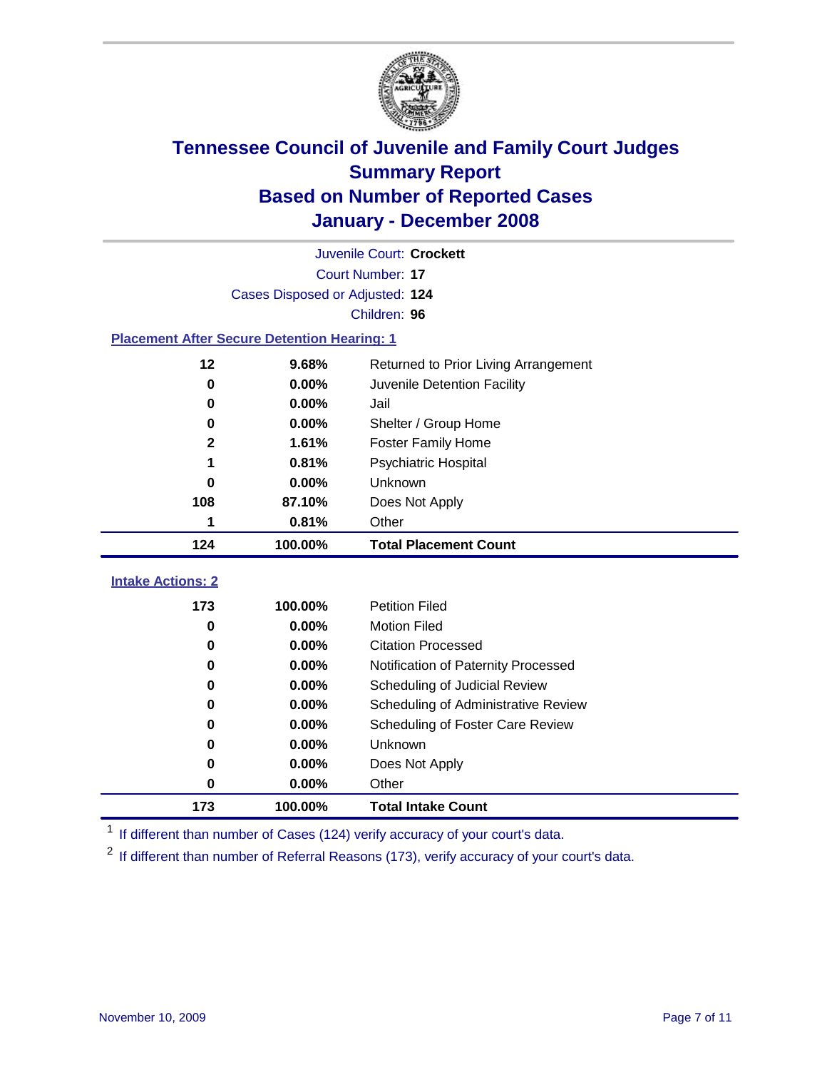

| Juvenile Court: Crockett                           |              |                                      |  |  |  |  |
|----------------------------------------------------|--------------|--------------------------------------|--|--|--|--|
| Court Number: 17                                   |              |                                      |  |  |  |  |
| Cases Disposed or Adjusted: 124                    |              |                                      |  |  |  |  |
|                                                    | Children: 96 |                                      |  |  |  |  |
| <b>Placement After Secure Detention Hearing: 1</b> |              |                                      |  |  |  |  |
| 12                                                 | 9.68%        | Returned to Prior Living Arrangement |  |  |  |  |
| $\bf{0}$                                           | 0.00%        | Juvenile Detention Facility          |  |  |  |  |
| $\bf{0}$                                           | 0.00%        | Jail                                 |  |  |  |  |
| 0                                                  | 0.00%        | Shelter / Group Home                 |  |  |  |  |
| $\mathbf{2}$                                       | 1.61%        | <b>Foster Family Home</b>            |  |  |  |  |
| 1                                                  | 0.81%        | Psychiatric Hospital                 |  |  |  |  |
| 0                                                  | 0.00%        | Unknown                              |  |  |  |  |
| 108                                                | 87.10%       | Does Not Apply                       |  |  |  |  |
| 1                                                  | 0.81%        | Other                                |  |  |  |  |
| 124                                                | 100.00%      | <b>Total Placement Count</b>         |  |  |  |  |
|                                                    |              |                                      |  |  |  |  |
| <b>Intake Actions: 2</b>                           |              |                                      |  |  |  |  |
| 173                                                | 100.00%      | <b>Petition Filed</b>                |  |  |  |  |
| 0                                                  | 0.00%        | <b>Motion Filed</b>                  |  |  |  |  |
| 0                                                  | 0.00%        | <b>Citation Processed</b>            |  |  |  |  |
| 0                                                  | 0.00%        | Notification of Paternity Processed  |  |  |  |  |
| $\bf{0}$                                           | 0.00%        | Scheduling of Judicial Review        |  |  |  |  |
| 0                                                  | 0.00%        | Scheduling of Administrative Review  |  |  |  |  |
| 0                                                  | 0.00%        | Scheduling of Foster Care Review     |  |  |  |  |
| 0                                                  | 0.00%        | Unknown                              |  |  |  |  |
| 0                                                  | 0.00%        | Does Not Apply                       |  |  |  |  |
| $\bf{0}$                                           | 0.00%        | Other                                |  |  |  |  |

<sup>1</sup> If different than number of Cases (124) verify accuracy of your court's data.

<sup>2</sup> If different than number of Referral Reasons (173), verify accuracy of your court's data.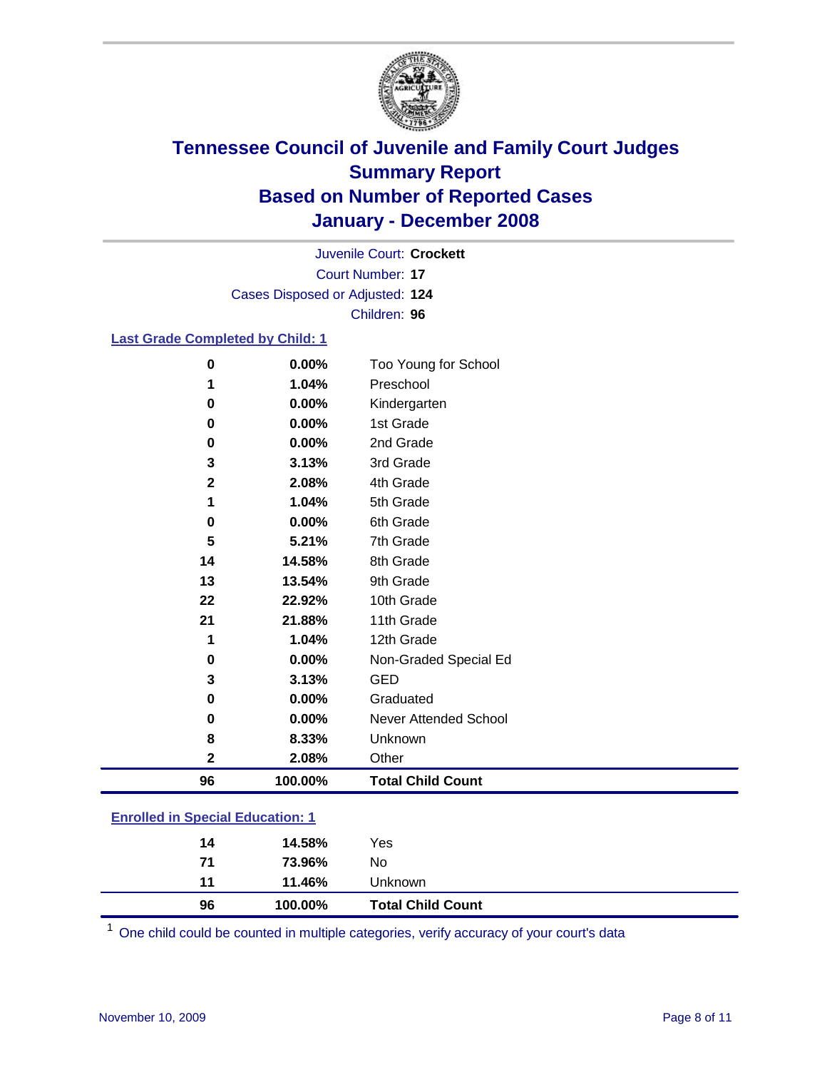

Court Number: **17** Juvenile Court: **Crockett** Cases Disposed or Adjusted: **124** Children: **96**

### **Last Grade Completed by Child: 1**

| 96           | 100.00% | <b>Total Child Count</b> |
|--------------|---------|--------------------------|
| 2            | 2.08%   | Other                    |
| 8            | 8.33%   | Unknown                  |
| 0            | 0.00%   | Never Attended School    |
| 0            | 0.00%   | Graduated                |
| 3            | 3.13%   | GED                      |
| $\bf{0}$     | 0.00%   | Non-Graded Special Ed    |
| 1            | 1.04%   | 12th Grade               |
| 21           | 21.88%  | 11th Grade               |
| 22           | 22.92%  | 10th Grade               |
| 13           | 13.54%  | 9th Grade                |
| 14           | 14.58%  | 8th Grade                |
| 5            | 5.21%   | 7th Grade                |
| $\bf{0}$     | 0.00%   | 6th Grade                |
| 1            | 1.04%   | 5th Grade                |
| $\mathbf{2}$ | 2.08%   | 4th Grade                |
| 3            | 3.13%   | 3rd Grade                |
| 0            | 0.00%   | 2nd Grade                |
| 0            | 0.00%   | 1st Grade                |
| 0            | 0.00%   | Kindergarten             |
| 1            | 1.04%   | Preschool                |
| 0            | 0.00%   | Too Young for School     |

### **Enrolled in Special Education: 1**

| 96 | 100.00% | <b>Total Child Count</b> |  |
|----|---------|--------------------------|--|
| 11 | 11.46%  | Unknown                  |  |
| 71 | 73.96%  | No                       |  |
| 14 | 14.58%  | Yes                      |  |
|    |         |                          |  |

One child could be counted in multiple categories, verify accuracy of your court's data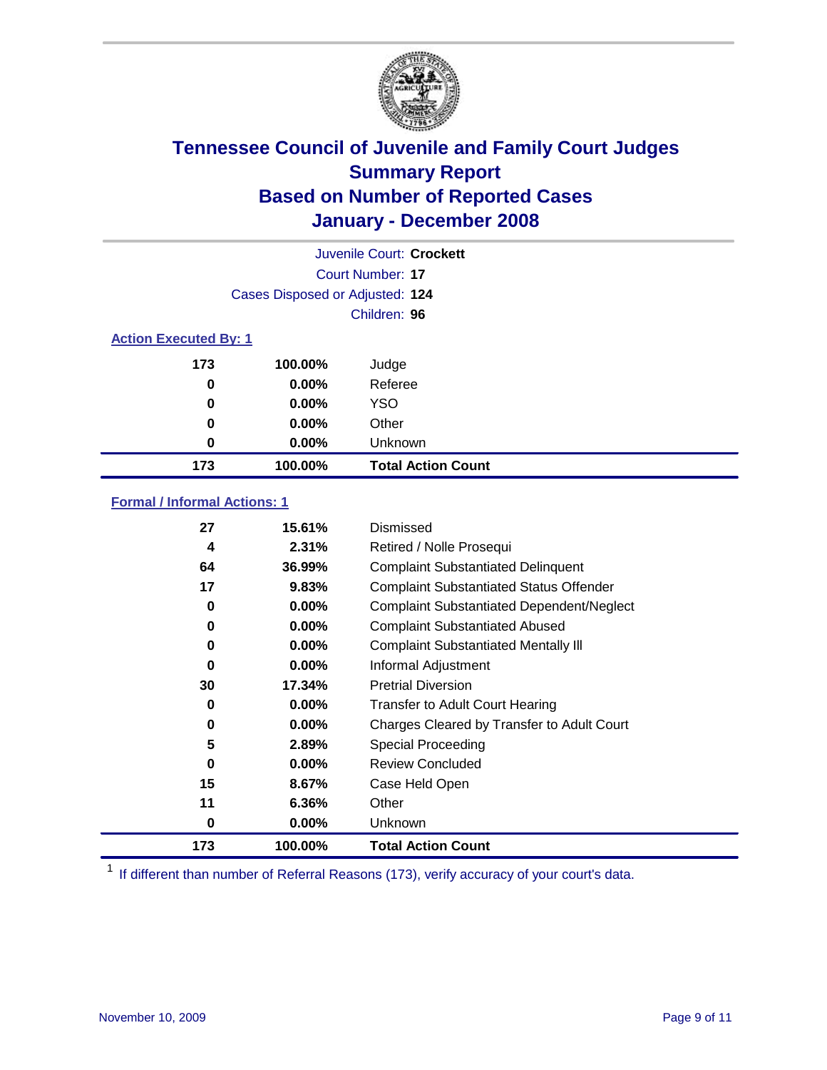

|                              |                                 | Juvenile Court: Crockett  |  |
|------------------------------|---------------------------------|---------------------------|--|
|                              |                                 | Court Number: 17          |  |
|                              | Cases Disposed or Adjusted: 124 |                           |  |
|                              |                                 | Children: 96              |  |
| <b>Action Executed By: 1</b> |                                 |                           |  |
| 173                          | 100.00%                         | Judge                     |  |
| 0                            | $0.00\%$                        | Referee                   |  |
| 0                            | $0.00\%$                        | <b>YSO</b>                |  |
| 0                            | 0.00%                           | Other                     |  |
| 0                            | $0.00\%$                        | Unknown                   |  |
| 173                          | 100.00%                         | <b>Total Action Count</b> |  |

### **Formal / Informal Actions: 1**

| 27  | 15.61%   | Dismissed                                        |
|-----|----------|--------------------------------------------------|
| 4   | 2.31%    | Retired / Nolle Prosequi                         |
| 64  | 36.99%   | <b>Complaint Substantiated Delinquent</b>        |
| 17  | 9.83%    | <b>Complaint Substantiated Status Offender</b>   |
| 0   | $0.00\%$ | <b>Complaint Substantiated Dependent/Neglect</b> |
| 0   | $0.00\%$ | <b>Complaint Substantiated Abused</b>            |
| 0   | $0.00\%$ | <b>Complaint Substantiated Mentally III</b>      |
| 0   | $0.00\%$ | Informal Adjustment                              |
| 30  | 17.34%   | <b>Pretrial Diversion</b>                        |
| 0   | $0.00\%$ | <b>Transfer to Adult Court Hearing</b>           |
| 0   | $0.00\%$ | Charges Cleared by Transfer to Adult Court       |
| 5   | 2.89%    | Special Proceeding                               |
| 0   | $0.00\%$ | Review Concluded                                 |
| 15  | 8.67%    | Case Held Open                                   |
| 11  | 6.36%    | Other                                            |
| 0   | 0.00%    | Unknown                                          |
| 173 | 100.00%  | <b>Total Action Count</b>                        |

<sup>1</sup> If different than number of Referral Reasons (173), verify accuracy of your court's data.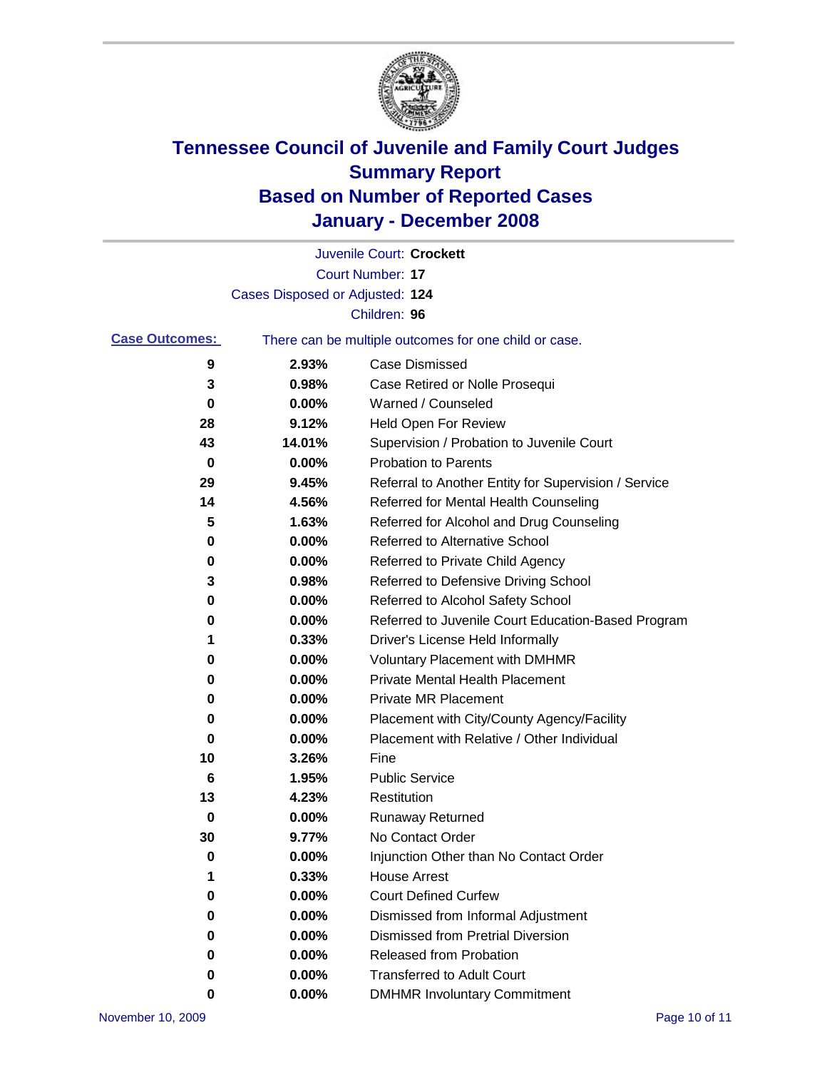

|                       |                                 | Juvenile Court: Crockett                              |
|-----------------------|---------------------------------|-------------------------------------------------------|
|                       |                                 | Court Number: 17                                      |
|                       | Cases Disposed or Adjusted: 124 |                                                       |
|                       |                                 | Children: 96                                          |
| <b>Case Outcomes:</b> |                                 | There can be multiple outcomes for one child or case. |
| 9                     | 2.93%                           | <b>Case Dismissed</b>                                 |
| 3                     | 0.98%                           | Case Retired or Nolle Prosequi                        |
| 0                     | 0.00%                           | Warned / Counseled                                    |
| 28                    | 9.12%                           | Held Open For Review                                  |
| 43                    | 14.01%                          | Supervision / Probation to Juvenile Court             |
| 0                     | 0.00%                           | <b>Probation to Parents</b>                           |
| 29                    | 9.45%                           | Referral to Another Entity for Supervision / Service  |
| 14                    | 4.56%                           | Referred for Mental Health Counseling                 |
| 5                     | 1.63%                           | Referred for Alcohol and Drug Counseling              |
| 0                     | 0.00%                           | Referred to Alternative School                        |
| 0                     | 0.00%                           | Referred to Private Child Agency                      |
| 3                     | 0.98%                           | Referred to Defensive Driving School                  |
| 0                     | 0.00%                           | Referred to Alcohol Safety School                     |
| 0                     | 0.00%                           | Referred to Juvenile Court Education-Based Program    |
| 1                     | 0.33%                           | Driver's License Held Informally                      |
| 0                     | 0.00%                           | <b>Voluntary Placement with DMHMR</b>                 |
| 0                     | 0.00%                           | Private Mental Health Placement                       |
| 0                     | 0.00%                           | <b>Private MR Placement</b>                           |
| 0                     | 0.00%                           | Placement with City/County Agency/Facility            |
| 0                     | 0.00%                           | Placement with Relative / Other Individual            |
| 10                    | 3.26%                           | Fine                                                  |
| 6                     | 1.95%                           | <b>Public Service</b>                                 |
| 13                    | 4.23%                           | Restitution                                           |
| 0                     | 0.00%                           | <b>Runaway Returned</b>                               |
| 30                    | 9.77%                           | No Contact Order                                      |
| 0                     | $0.00\%$                        | Injunction Other than No Contact Order                |
|                       | 0.33%                           | <b>House Arrest</b>                                   |
| 0                     | 0.00%                           | <b>Court Defined Curfew</b>                           |
| 0                     | 0.00%                           | Dismissed from Informal Adjustment                    |
| 0                     | 0.00%                           | <b>Dismissed from Pretrial Diversion</b>              |
| 0                     | 0.00%                           | Released from Probation                               |
| 0                     | 0.00%                           | <b>Transferred to Adult Court</b>                     |
| 0                     | 0.00%                           | <b>DMHMR Involuntary Commitment</b>                   |